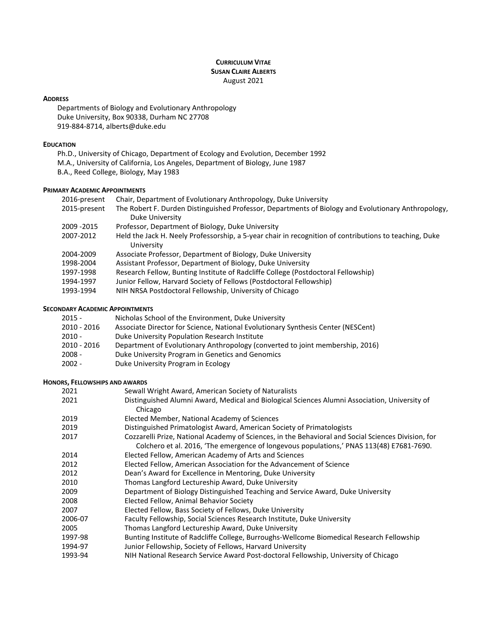# **CURRICULUM VITAE SUSAN CLAIRE ALBERTS** August 2021

### **ADDRESS**

Departments of Biology and Evolutionary Anthropology Duke University, Box 90338, Durham NC 27708 919-884-8714, alberts@duke.edu

# **EDUCATION**

Ph.D., University of Chicago, Department of Ecology and Evolution, December 1992 M.A., University of California, Los Angeles, Department of Biology, June 1987 B.A., Reed College, Biology, May 1983

### **PRIMARY ACADEMIC APPOINTMENTS**

| 2016-present | Chair, Department of Evolutionary Anthropology, Duke University                                                      |
|--------------|----------------------------------------------------------------------------------------------------------------------|
| 2015-present | The Robert F. Durden Distinguished Professor, Departments of Biology and Evolutionary Anthropology,                  |
|              | Duke University                                                                                                      |
| 2009 - 2015  | Professor, Department of Biology, Duke University                                                                    |
| 2007-2012    | Held the Jack H. Neely Professorship, a 5-year chair in recognition of contributions to teaching, Duke<br>University |
| 2004-2009    | Associate Professor, Department of Biology, Duke University                                                          |
| 1998-2004    | Assistant Professor, Department of Biology, Duke University                                                          |
| 1997-1998    | Research Fellow, Bunting Institute of Radcliffe College (Postdoctoral Fellowship)                                    |
| 1994-1997    | Junior Fellow, Harvard Society of Fellows (Postdoctoral Fellowship)                                                  |
| 1993-1994    | NIH NRSA Postdoctoral Fellowship, University of Chicago                                                              |

## **SECONDARY ACADEMIC APPOINTMENTS**

| $2015 -$    | Nicholas School of the Environment, Duke University                              |
|-------------|----------------------------------------------------------------------------------|
| 2010 - 2016 | Associate Director for Science, National Evolutionary Synthesis Center (NESCent) |
| $2010 -$    | Duke University Population Research Institute                                    |
| 2010 - 2016 | Department of Evolutionary Anthropology (converted to joint membership, 2016)    |
| $2008 -$    | Duke University Program in Genetics and Genomics                                 |
| $2002 -$    | Duke University Program in Ecology                                               |

## **HONORS, FELLOWSHIPS AND AWARDS**

| 2021    | Sewall Wright Award, American Society of Naturalists                                                                                                                                            |
|---------|-------------------------------------------------------------------------------------------------------------------------------------------------------------------------------------------------|
| 2021    | Distinguished Alumni Award, Medical and Biological Sciences Alumni Association, University of<br>Chicago                                                                                        |
| 2019    | Elected Member, National Academy of Sciences                                                                                                                                                    |
| 2019    | Distinguished Primatologist Award, American Society of Primatologists                                                                                                                           |
| 2017    | Cozzarelli Prize, National Academy of Sciences, in the Behavioral and Social Sciences Division, for<br>Colchero et al. 2016, 'The emergence of longevous populations,' PNAS 113(48) E7681-7690. |
| 2014    | Elected Fellow, American Academy of Arts and Sciences                                                                                                                                           |
| 2012    | Elected Fellow, American Association for the Advancement of Science                                                                                                                             |
| 2012    | Dean's Award for Excellence in Mentoring, Duke University                                                                                                                                       |
| 2010    | Thomas Langford Lectureship Award, Duke University                                                                                                                                              |
| 2009    | Department of Biology Distinguished Teaching and Service Award, Duke University                                                                                                                 |
| 2008    | Elected Fellow, Animal Behavior Society                                                                                                                                                         |
| 2007    | Elected Fellow, Bass Society of Fellows, Duke University                                                                                                                                        |
| 2006-07 | Faculty Fellowship, Social Sciences Research Institute, Duke University                                                                                                                         |
| 2005    | Thomas Langford Lectureship Award, Duke University                                                                                                                                              |
| 1997-98 | Bunting Institute of Radcliffe College, Burroughs-Wellcome Biomedical Research Fellowship                                                                                                       |
| 1994-97 | Junior Fellowship, Society of Fellows, Harvard University                                                                                                                                       |
| 1993-94 | NIH National Research Service Award Post-doctoral Fellowship, University of Chicago                                                                                                             |
|         |                                                                                                                                                                                                 |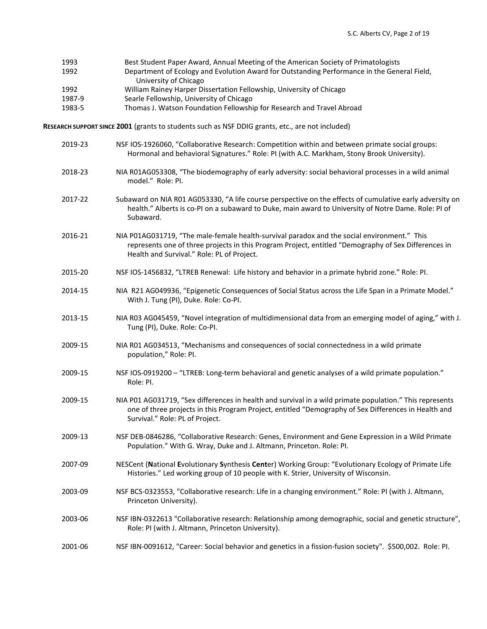| 1993   | Best Student Paper Award, Annual Meeting of the American Society of Primatologists          |
|--------|---------------------------------------------------------------------------------------------|
| 1992   | Department of Ecology and Evolution Award for Outstanding Performance in the General Field, |
|        | University of Chicago                                                                       |
| 1992   | William Rainey Harper Dissertation Fellowship, University of Chicago                        |
| 1987-9 | Searle Fellowship, University of Chicago                                                    |
| 1983-5 | Thomas J. Watson Foundation Fellowship for Research and Travel Abroad                       |

**RESEARCH SUPPORT SINCE 2001** (grants to students such as NSF DDIG grants, etc., are not included)

2019-23 NSF IOS-1926060, "Collaborative Research: Competition within and between primate social groups: Hormonal and behavioral Signatures." Role: PI (with A.C. Markham, Stony Brook University). 2018-23 NIA R01AG053308, "The biodemography of early adversity: social behavioral processes in a wild animal model." Role: PI. 2017-22 Subaward on NIA R01 AG053330, "A life course perspective on the effects of cumulative early adversity on health." Alberts is co-PI on a subaward to Duke, main award to University of Notre Dame. Role: PI of Subaward. 2016-21 NIA P01AG031719, "The male-female health-survival paradox and the social environment." This represents one of three projects in this Program Project, entitled "Demography of Sex Differences in Health and Survival." Role: PL of Project. 2015-20 NSF IOS-1456832, "LTREB Renewal: Life history and behavior in a primate hybrid zone." Role: PI. 2014-15 NIA R21 AG049936, "Epigenetic Consequences of Social Status across the Life Span in a Primate Model." With J. Tung (PI), Duke. Role: Co-PI. 2013-15 NIA R03 AG045459, "Novel integration of multidimensional data from an emerging model of aging," with J. Tung (PI), Duke. Role: Co-PI. 2009-15 NIA R01 AG034513, "Mechanisms and consequences of social connectedness in a wild primate population," Role: PI. 2009-15 NSF IOS-0919200 – "LTREB: Long-term behavioral and genetic analyses of a wild primate population." Role: PI. 2009-15 NIA P01 AG031719, "Sex differences in health and survival in a wild primate population." This represents one of three projects in this Program Project, entitled "Demography of Sex Differences in Health and Survival." Role: PL of Project. 2009-13 NSF DEB-0846286, "Collaborative Research: Genes, Environment and Gene Expression in a Wild Primate Population." With G. Wray, Duke and J. Altmann, Princeton. Role: PI. 2007-09 NESCent (**N**ational **E**volutionary **S**ynthesis **Cent**er) Working Group: "Evolutionary Ecology of Primate Life Histories." Led working group of 10 people with K. Strier, University of Wisconsin. 2003-09 NSF BCS-0323553, "Collaborative research: Life in a changing environment." Role: PI (with J. Altmann, Princeton University). 2003-06 NSF IBN-0322613 "Collaborative research: Relationship among demographic, social and genetic structure", Role: PI (with J. Altmann, Princeton University). 2001-06 NSF IBN-0091612, "Career: Social behavior and genetics in a fission-fusion society". \$500,002. Role: PI.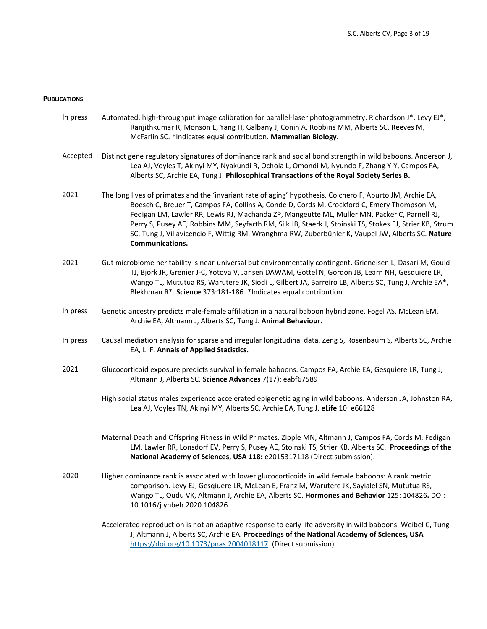#### **PUBLICATIONS**

- In press Automated, high-throughput image calibration for parallel-laser photogrammetry. Richardson J\*, Levy EJ\*, Ranjithkumar R, Monson E, Yang H, Galbany J, Conin A, Robbins MM, Alberts SC, Reeves M, McFarlin SC. \*Indicates equal contribution. **Mammalian Biology.**
- Accepted Distinct gene regulatory signatures of dominance rank and social bond strength in wild baboons. Anderson J, Lea AJ, Voyles T, Akinyi MY, Nyakundi R, Ochola L, Omondi M, Nyundo F, Zhang Y-Y, Campos FA, Alberts SC, Archie EA, Tung J. **Philosophical Transactions of the Royal Society Series B.**
- 2021 The long lives of primates and the 'invariant rate of aging' hypothesis. Colchero F, Aburto JM, Archie EA, Boesch C, Breuer T, Campos FA, Collins A, Conde D, Cords M, Crockford C, Emery Thompson M, Fedigan LM, Lawler RR, Lewis RJ, Machanda ZP, Mangeutte ML, Muller MN, Packer C, Parnell RJ, Perry S, Pusey AE, Robbins MM, Seyfarth RM, Silk JB, Staerk J, Stoinski TS, Stokes EJ, Strier KB, Strum SC, Tung J, Villavicencio F, Wittig RM, Wranghma RW, Zuberbühler K, Vaupel JW, Alberts SC. **Nature Communications.**
- 2021 Gut microbiome heritability is near-universal but environmentally contingent. Grieneisen L, Dasari M, Gould TJ, Björk JR, Grenier J-C, Yotova V, Jansen DAWAM, Gottel N, Gordon JB, Learn NH, Gesquiere LR, Wango TL, Mututua RS, Warutere JK, Siodi L, Gilbert JA, Barreiro LB, Alberts SC, Tung J, Archie EA\*, Blekhman R\*. **Science** 373:181-186. \*Indicates equal contribution.
- In press Genetic ancestry predicts male-female affiliation in a natural baboon hybrid zone. Fogel AS, McLean EM, Archie EA, Altmann J, Alberts SC, Tung J. **Animal Behaviour.**
- In press Causal mediation analysis for sparse and irregular longitudinal data. Zeng S, Rosenbaum S, Alberts SC, Archie EA, Li F. **Annals of Applied Statistics.**
- 2021 Glucocorticoid exposure predicts survival in female baboons. Campos FA, Archie EA, Gesquiere LR, Tung J, Altmann J, Alberts SC. **Science Advances** 7(17): eabf67589
	- High social status males experience accelerated epigenetic aging in wild baboons. Anderson JA, Johnston RA, Lea AJ, Voyles TN, Akinyi MY, Alberts SC, Archie EA, Tung J. **eLife** 10: e66128
	- Maternal Death and Offspring Fitness in Wild Primates. Zipple MN, Altmann J, Campos FA, Cords M, Fedigan LM, Lawler RR, Lonsdorf EV, Perry S, Pusey AE, Stoinski TS, Strier KB, Alberts SC. **Proceedings of the National Academy of Sciences, USA 118:** e2015317118 (Direct submission).
- 2020 Higher dominance rank is associated with lower glucocorticoids in wild female baboons: A rank metric comparison. Levy EJ, Gesqiuere LR, McLean E, Franz M, Warutere JK, Sayialel SN, Mututua RS, Wango TL, Oudu VK, Altmann J, Archie EA, Alberts SC. **Hormones and Behavior** 125: 104826**.** DOI: 10.1016/j.yhbeh.2020.104826

Accelerated reproduction is not an adaptive response to early life adversity in wild baboons. Weibel C, Tung J, Altmann J, Alberts SC, Archie EA. **Proceedings of the National Academy of Sciences, USA**  https://doi.org/10.1073/pnas.2004018117. (Direct submission)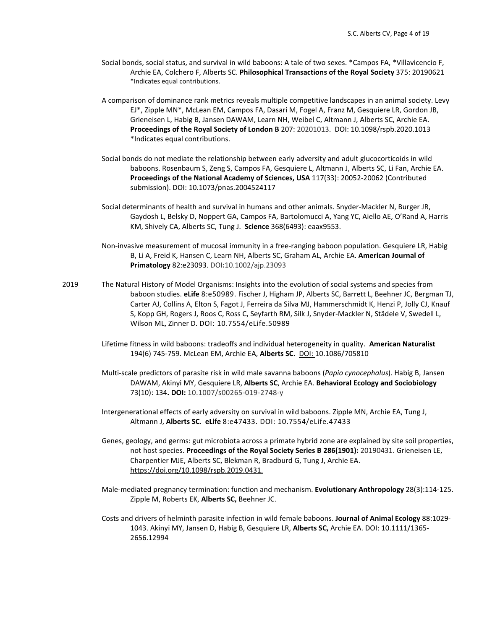- Social bonds, social status, and survival in wild baboons: A tale of two sexes. \*Campos FA, \*Villavicencio F, Archie EA, Colchero F, Alberts SC. **Philosophical Transactions of the Royal Society** 375: 20190621 \*Indicates equal contributions.
- A comparison of dominance rank metrics reveals multiple competitive landscapes in an animal society. Levy EJ\*, Zipple MN\*, McLean EM, Campos FA, Dasari M, Fogel A, Franz M, Gesquiere LR, Gordon JB, Grieneisen L, Habig B, Jansen DAWAM, Learn NH, Weibel C, Altmann J, Alberts SC, Archie EA. **Proceedings of the Royal Society of London B** 207: 20201013. DOI: 10.1098/rspb.2020.1013 \*Indicates equal contributions.
- Social bonds do not mediate the relationship between early adversity and adult glucocorticoids in wild baboons. Rosenbaum S, Zeng S, Campos FA, Gesquiere L, Altmann J, Alberts SC, Li Fan, Archie EA. **Proceedings of the National Academy of Sciences, USA** 117(33): 20052-20062 (Contributed submission). DOI: 10.1073/pnas.2004524117
- Social determinants of health and survival in humans and other animals. Snyder-Mackler N, Burger JR, Gaydosh L, Belsky D, Noppert GA, Campos FA, Bartolomucci A, Yang YC, Aiello AE, O'Rand A, Harris KM, Shively CA, Alberts SC, Tung J. **Science** 368(6493): eaax9553.
- Non-invasive measurement of mucosal immunity in a free-ranging baboon population. Gesquiere LR, Habig B, Li A, Freid K, Hansen C, Learn NH, Alberts SC, Graham AL, Archie EA. **American Journal of Primatology** 82:e23093. DOI**:**10.1002/ajp.23093
- 2019 The Natural History of Model Organisms: Insights into the evolution of social systems and species from baboon studies. **eLife** 8:e50989. Fischer J, Higham JP, Alberts SC, Barrett L, Beehner JC, Bergman TJ, Carter AJ, Collins A, Elton S, Fagot J, Ferreira da Silva MJ, Hammerschmidt K, Henzi P, Jolly CJ, Knauf S, Kopp GH, Rogers J, Roos C, Ross C, Seyfarth RM, Silk J, Snyder-Mackler N, Städele V, Swedell L, Wilson ML, Zinner D. DOI: 10.7554/eLife.50989
	- Lifetime fitness in wild baboons: tradeoffs and individual heterogeneity in quality. **American Naturalist** 194(6) 745-759. McLean EM, Archie EA, **Alberts SC**. DOI: 10.1086/705810
	- Multi-scale predictors of parasite risk in wild male savanna baboons (*Papio cynocephalus*). Habig B, Jansen DAWAM, Akinyi MY, Gesquiere LR, **Alberts SC**, Archie EA. **Behavioral Ecology and Sociobiology**  73(10): 134**. DOI:** 10.1007/s00265-019-2748-y
	- Intergenerational effects of early adversity on survival in wild baboons. Zipple MN, Archie EA, Tung J, Altmann J, **Alberts SC**. **eLife** 8:e47433. DOI: 10.7554/eLife.47433
	- Genes, geology, and germs: gut microbiota across a primate hybrid zone are explained by site soil properties, not host species. **Proceedings of the Royal Society Series B 286(1901):** 20190431. Grieneisen LE, Charpentier MJE, Alberts SC, Blekman R, Bradburd G, Tung J, Archie EA. https://doi.org/10.1098/rspb.2019.0431.
	- Male-mediated pregnancy termination: function and mechanism. **Evolutionary Anthropology** 28(3):114-125. Zipple M, Roberts EK, **Alberts SC,** Beehner JC.
	- Costs and drivers of helminth parasite infection in wild female baboons. **Journal of Animal Ecology** 88:1029- 1043. Akinyi MY, Jansen D, Habig B, Gesquiere LR, **Alberts SC,** Archie EA. DOI: 10.1111/1365- 2656.12994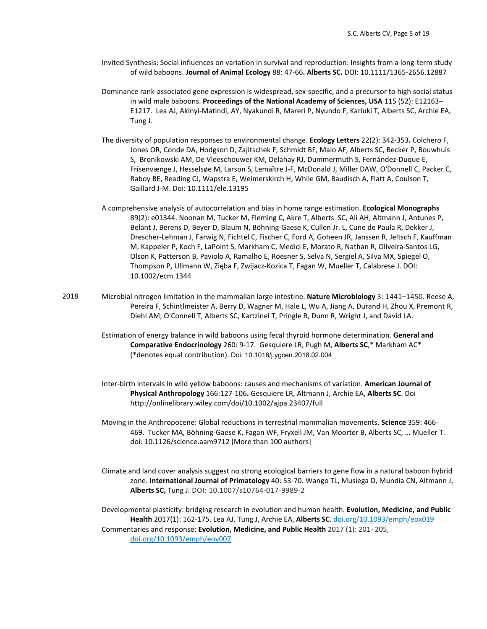- Invited Synthesis: Social influences on variation in survival and reproduction: Insights from a long-term study of wild baboons. **Journal of Animal Ecology** 88: 47-66**. Alberts SC.** DOI: 10.1111/1365-2656.12887
- Dominance rank-associated gene expression is widespread, sex-specific, and a precursor to high social status in wild male baboons. **Proceedings of the National Academy of Sciences, USA** 115 (52): E12163– E1217. Lea AJ, Akinyi-Matindi, AY, Nyakundi R, Mareri P, Nyundo F, Kariuki T, Alberts SC, Archie EA, Tung J.
- The diversity of population responses to environmental change. **Ecology Letters** 22(2): 342-353**.** Colchero F, Jones OR, Conde DA, Hodgson D, Zajitschek F, Schmidt BF, Malo AF, Alberts SC, Becker P, Bouwhuis S, Bronikowski AM, De Vleeschouwer KM, Delahay RJ, Dummermuth S, Fernández-Duque E, Frisenvænge J, Hesselsøe M, Larson S, Lemaître J-F, McDonald J, Miller DAW, O'Donnell C, Packer C, Raboy BE, Reading CJ, Wapstra E, Weimerskirch H, While GM, Baudisch A, Flatt A, Coulson T, Gaillard J-M. Doi: 10.1111/ele.13195
- A comprehensive analysis of autocorrelation and bias in home range estimation. **Ecological Monographs** 89(2): e01344. Noonan M, Tucker M, Fleming C, Akre T, Alberts SC, Ali AH, Altmann J, Antunes P, Belant J, Berens D, Beyer D, Blaum N, Böhning-Gaese K, Cullen Jr. L, Cune de Paula R, Dekker J, Drescher-Lehman J, Farwig N, Fichtel C, Fischer C, Ford A, Goheen JR, Janssen R, Jeltsch F, Kauffman M, Kappeler P, Koch F, LaPoint S, Markham C, Medici E, Morato R, Nathan R, Oliveira-Santos LG, Olson K, Patterson B, Paviolo A, Ramalho E, Roesner S, Selva N, Sergiel A, Silva MX, Spiegel O, Thompson P, Ullmann W, Zięba F, Zwijacz-Kozica T, Fagan W, Mueller T, Calabrese J. DOI: 10.1002/ecm.1344
- 2018 Microbial nitrogen limitation in the mammalian large intestine. **Nature Microbiology** 3: 1441–1450. Reese A, Pereira F, Schintlmeister A, Berry D, Wagner M, Hale L, Wu A, Jiang A, Durand H, Zhou X, Premont R, Diehl AM, O'Connell T, Alberts SC, Kartzinel T, Pringle R, Dunn R, Wright J, and David LA.
	- Estimation of energy balance in wild baboons using fecal thyroid hormone determination. **General and Comparative Endocrinology** 260: 9-17. Gesquiere LR, Pugh M, **Alberts SC**,\* Markham AC\* (\*denotes equal contribution). Doi: 10.1016/j.ygcen.2018.02.004
	- Inter-birth intervals in wild yellow baboons: causes and mechanisms of variation. **American Journal of Physical Anthropology** 166:127-106**.** Gesquiere LR, Altmann J, Archie EA, **Alberts SC**. Doi http://onlinelibrary.wiley.com/doi/10.1002/ajpa.23407/full
	- Moving in the Anthropocene: Global reductions in terrestrial mammalian movements. **Science** 359: 466- 469. Tucker MA, Böhning-Gaese K, Fagan WF, Fryxell JM, Van Moorter B, Alberts SC, … Mueller T. doi: 10.1126/science.aam9712 [More than 100 authors]
	- Climate and land cover analysis suggest no strong ecological barriers to gene flow in a natural baboon hybrid zone. **International Journal of Primatology** 40: 53-70. Wango TL, Musiega D, Mundia CN, Altmann J, **Alberts SC,** Tung J. DOI: 10.1007/s10764-017-9989-2

Developmental plasticity: bridging research in evolution and human health. **Evolution, Medicine, and Public Health** 2017(1): 162-175. Lea AJ, Tung J, Archie EA, **Alberts SC**. doi.org/10.1093/emph/eox019 Commentaries and response: **Evolution, Medicine, and Public Health** 2017 (1): 201- 205, doi.org/10.1093/emph/eoy007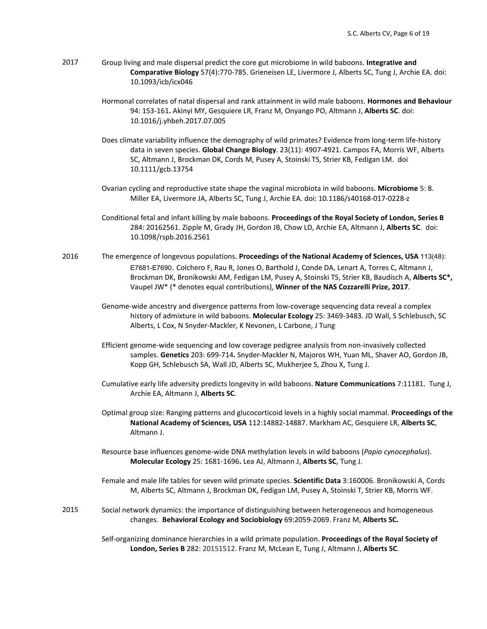2017 Group living and male dispersal predict the core gut microbiome in wild baboons. **Integrative and Comparative Biology** 57(4):770-785. Grieneisen LE, Livermore J, Alberts SC, Tung J, Archie EA. doi: 10.1093/icb/icx046

> Hormonal correlates of natal dispersal and rank attainment in wild male baboons. **Hormones and Behaviour**  94: 153-161**.** Akinyi MY, Gesquiere LR, Franz M, Onyango PO, Altmann J, **Alberts SC**. doi: 10.1016/j.yhbeh.2017.07.005

- Does climate variability influence the demography of wild primates? Evidence from long-term life-history data in seven species. **Global Change Biology**. 23(11): 4907-4921. Campos FA, Morris WF, Alberts SC, Altmann J, Brockman DK, Cords M, Pusey A, Stoinski TS, Strier KB, Fedigan LM. doi 10.1111/gcb.13754
- Ovarian cycling and reproductive state shape the vaginal microbiota in wild baboons. **Microbiome** 5: 8. Miller EA, Livermore JA, Alberts SC, Tung J, Archie EA. doi: 10.1186/s40168-017-0228-z
- Conditional fetal and infant killing by male baboons. **Proceedings of the Royal Society of London, Series B**  284: 20162561. Zipple M, Grady JH, Gordon JB, Chow LD, Archie EA, Altmann J, **Alberts SC**. doi: 10.1098/rspb.2016.2561
- 2016 The emergence of longevous populations. **Proceedings of the National Academy of Sciences, USA** 113(48): E7681-E7690. Colchero F, Rau R, Jones O, Barthold J, Conde DA, Lenart A, Torres C, Altmann J, Brockman DK, Bronikowski AM, Fedigan LM, Pusey A, Stoinski TS, Strier KB, Baudisch A, **Alberts SC\*,** Vaupel JW\* (\* denotes equal contributions), **Winner of the NAS Cozzarelli Prize, 2017**.
	- Genome-wide ancestry and divergence patterns from low-coverage sequencing data reveal a complex history of admixture in wild baboons. **Molecular Ecology** 25: 3469-3483. JD Wall, S Schlebusch, SC Alberts, L Cox, N Snyder-Mackler, K Nevonen, L Carbone, J Tung.
	- Efficient genome-wide sequencing and low coverage pedigree analysis from non-invasively collected samples. **Genetics** 203: 699-714**.** Snyder-Mackler N, Majoros WH, Yuan ML, Shaver AO, Gordon JB, Kopp GH, Schlebusch SA, Wall JD, Alberts SC, Mukherjee S, Zhou X, Tung J.
	- Cumulative early life adversity predicts longevity in wild baboons. **Nature Communications** 7:11181. Tung J, Archie EA, Altmann J, **Alberts SC**.
	- Optimal group size: Ranging patterns and glucocorticoid levels in a highly social mammal. **Proceedings of the National Academy of Sciences, USA** 112:14882-14887. Markham AC, Gesquiere LR, **Alberts SC**, Altmann J.
	- Resource base influences genome-wide DNA methylation levels in wild baboons (*Papio cynocephalus*). **Molecular Ecology** 25: 1681-1696**.** Lea AJ, Altmann J, **Alberts SC**, Tung J.
	- Female and male life tables for seven wild primate species. **Scientific Data** 3:160006. Bronikowski A, Cords M, Alberts SC, Altmann J, Brockman DK, Fedigan LM, Pusey A, Stoinski T, Strier KB, Morris WF.
- 2015 Social network dynamics: the importance of distinguishing between heterogeneous and homogeneous changes. **Behavioral Ecology and Sociobiology** 69:2059-2069. Franz M, **Alberts SC.**

Self-organizing dominance hierarchies in a wild primate population. **Proceedings of the Royal Society of London, Series B** 282: 20151512. Franz M, McLean E, Tung J, Altmann J, **Alberts SC**.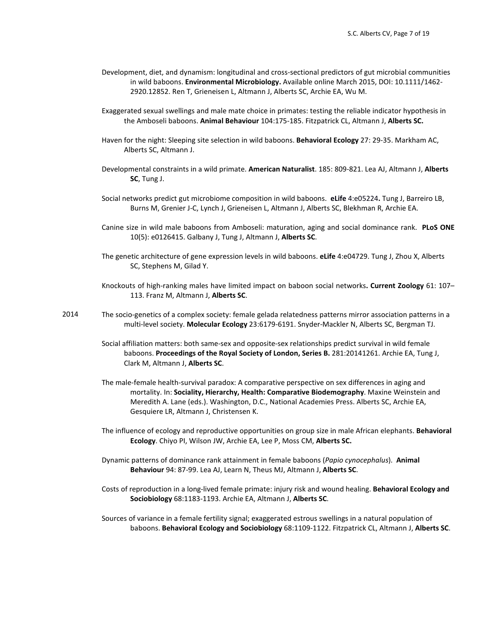- Development, diet, and dynamism: longitudinal and cross-sectional predictors of gut microbial communities in wild baboons. **Environmental Microbiology.** Available online March 2015, DOI: 10.1111/1462- 2920.12852. Ren T, Grieneisen L, Altmann J, Alberts SC, Archie EA, Wu M.
- Exaggerated sexual swellings and male mate choice in primates: testing the reliable indicator hypothesis in the Amboseli baboons. **Animal Behaviour** 104:175-185. Fitzpatrick CL, Altmann J, **Alberts SC.**
- Haven for the night: Sleeping site selection in wild baboons. **Behavioral Ecology** 27: 29-35. Markham AC, Alberts SC, Altmann J.
- Developmental constraints in a wild primate. **American Naturalist**. 185: 809-821. Lea AJ, Altmann J, **Alberts SC**, Tung J.
- Social networks predict gut microbiome composition in wild baboons. **eLife** 4:e05224**.** Tung J, Barreiro LB, Burns M, Grenier J-C, Lynch J, Grieneisen L, Altmann J, Alberts SC, Blekhman R, Archie EA.
- Canine size in wild male baboons from Amboseli: maturation, aging and social dominance rank. **PLoS ONE**  10(5): e0126415. Galbany J, Tung J, Altmann J, **Alberts SC**.
- The genetic architecture of gene expression levels in wild baboons. **eLife** 4:e04729. Tung J, Zhou X, Alberts SC, Stephens M, Gilad Y.
- Knockouts of high-ranking males have limited impact on baboon social networks**. Current Zoology** 61: 107– 113. Franz M, Altmann J, **Alberts SC**.
- 2014 The socio-genetics of a complex society: female gelada relatedness patterns mirror association patterns in a multi-level society. **Molecular Ecology** 23:6179-6191. Snyder-Mackler N, Alberts SC, Bergman TJ.
	- Social affiliation matters: both same-sex and opposite-sex relationships predict survival in wild female baboons. **Proceedings of the Royal Society of London, Series B.** 281:20141261. Archie EA, Tung J, Clark M, Altmann J, **Alberts SC**.
	- The male-female health-survival paradox: A comparative perspective on sex differences in aging and mortality. In: **Sociality, Hierarchy, Health: Comparative Biodemography**. Maxine Weinstein and Meredith A. Lane (eds.). Washington, D.C., National Academies Press. Alberts SC, Archie EA, Gesquiere LR, Altmann J, Christensen K.
	- The influence of ecology and reproductive opportunities on group size in male African elephants. **Behavioral Ecology**. Chiyo PI, Wilson JW, Archie EA, Lee P, Moss CM, **Alberts SC.**
	- Dynamic patterns of dominance rank attainment in female baboons (*Papio cynocephalus*). **Animal Behaviour** 94: 87-99. Lea AJ, Learn N, Theus MJ, Altmann J, **Alberts SC**.
	- Costs of reproduction in a long-lived female primate: injury risk and wound healing. **Behavioral Ecology and Sociobiology** 68:1183-1193. Archie EA, Altmann J, **Alberts SC**.
	- Sources of variance in a female fertility signal; exaggerated estrous swellings in a natural population of baboons. **Behavioral Ecology and Sociobiology** 68:1109-1122. Fitzpatrick CL, Altmann J, **Alberts SC**.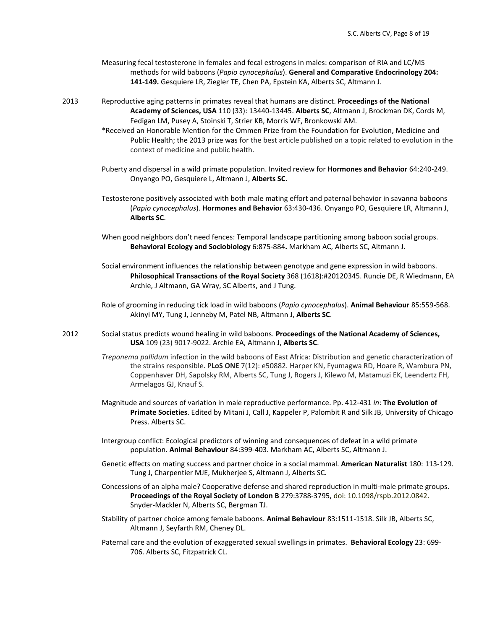- Measuring fecal testosterone in females and fecal estrogens in males: comparison of RIA and LC/MS methods for wild baboons (*Papio cynocephalus*). **General and Comparative Endocrinology 204: 141-149.** Gesquiere LR, Ziegler TE, Chen PA, Epstein KA, Alberts SC, Altmann J.
- 2013 Reproductive aging patterns in primates reveal that humans are distinct. **Proceedings of the National Academy of Sciences, USA** 110 (33): 13440-13445. **Alberts SC**, Altmann J, Brockman DK, Cords M, Fedigan LM, Pusey A, Stoinski T, Strier KB, Morris WF, Bronkowski AM.
	- \*Received an Honorable Mention for the Ommen Prize from the Foundation for Evolution, Medicine and Public Health; the 2013 prize was for the best article published on a topic related to evolution in the context of medicine and public health.
	- Puberty and dispersal in a wild primate population. Invited review for **Hormones and Behavior** 64:240-249. Onyango PO, Gesquiere L, Altmann J, **Alberts SC**.
	- Testosterone positively associated with both male mating effort and paternal behavior in savanna baboons (*Papio cynocephalus*). **Hormones and Behavior** 63:430-436. Onyango PO, Gesquiere LR, Altmann J, **Alberts SC**.
	- When good neighbors don't need fences: Temporal landscape partitioning among baboon social groups. **Behavioral Ecology and Sociobiology** 6:875-884**.** Markham AC, Alberts SC, Altmann J.
	- Social environment influences the relationship between genotype and gene expression in wild baboons. **Philosophical Transactions of the Royal Society** 368 (1618):#20120345. Runcie DE, R Wiedmann, EA Archie, J Altmann, GA Wray, SC Alberts, and J Tung.
	- Role of grooming in reducing tick load in wild baboons (*Papio cynocephalus*). **Animal Behaviour** 85:559-568. Akinyi MY, Tung J, Jenneby M, Patel NB, Altmann J, **Alberts SC**.
- 2012 Social status predicts wound healing in wild baboons. **Proceedings of the National Academy of Sciences, USA** 109 (23) 9017-9022. Archie EA, Altmann J, **Alberts SC**.
	- *Treponema pallidum* infection in the wild baboons of East Africa: Distribution and genetic characterization of the strains responsible. **PLoS ONE** 7(12): e50882. Harper KN, Fyumagwa RD, Hoare R, Wambura PN, Coppenhaver DH, Sapolsky RM, Alberts SC, Tung J, Rogers J, Kilewo M, Matamuzi EK, Leendertz FH, Armelagos GJ, Knauf S.
	- Magnitude and sources of variation in male reproductive performance. Pp. 412-431 *in*: **The Evolution of Primate Societies**. Edited by Mitani J, Call J, Kappeler P, Palombit R and Silk JB, University of Chicago Press. Alberts SC.
	- Intergroup conflict: Ecological predictors of winning and consequences of defeat in a wild primate population. **Animal Behaviour** 84:399-403. Markham AC, Alberts SC, Altmann J.
	- Genetic effects on mating success and partner choice in a social mammal. **American Naturalist** 180: 113-129. Tung J, Charpentier MJE, Mukherjee S, Altmann J, Alberts SC.
	- Concessions of an alpha male? Cooperative defense and shared reproduction in multi-male primate groups. **Proceedings of the Royal Society of London B** 279:3788-3795, doi: 10.1098/rspb.2012.0842. Snyder-Mackler N, Alberts SC, Bergman TJ.
	- Stability of partner choice among female baboons. **Animal Behaviour** 83:1511-1518. Silk JB, Alberts SC, Altmann J, Seyfarth RM, Cheney DL.
	- Paternal care and the evolution of exaggerated sexual swellings in primates. **Behavioral Ecology** 23: 699- 706. Alberts SC, Fitzpatrick CL.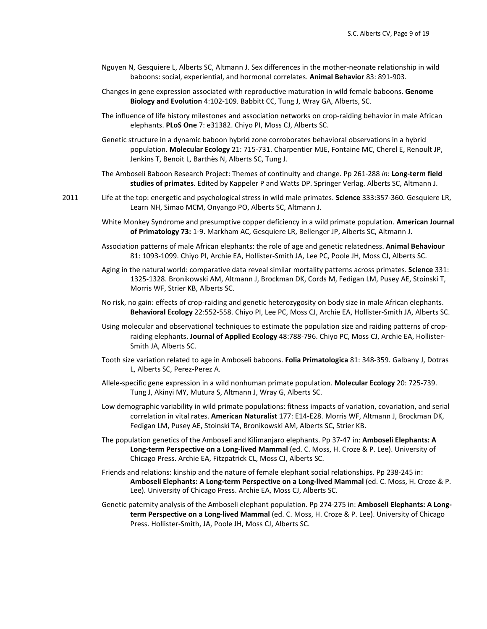- Nguyen N, Gesquiere L, Alberts SC, Altmann J. Sex differences in the mother-neonate relationship in wild baboons: social, experiential, and hormonal correlates. **Animal Behavior** 83: 891-903.
- Changes in gene expression associated with reproductive maturation in wild female baboons. **Genome Biology and Evolution** 4:102-109. Babbitt CC, Tung J, Wray GA, Alberts, SC.
- The influence of life history milestones and association networks on crop-raiding behavior in male African elephants. **PLoS One** 7: e31382. Chiyo PI, Moss CJ, Alberts SC.
- Genetic structure in a dynamic baboon hybrid zone corroborates behavioral observations in a hybrid population. **Molecular Ecology** 21: 715-731. Charpentier MJE, Fontaine MC, Cherel E, Renoult JP, Jenkins T, Benoit L, Barthès N, Alberts SC, Tung J.
- The Amboseli Baboon Research Project: Themes of continuity and change. Pp 261-288 *in*: **Long-term field studies of primates**. Edited by Kappeler P and Watts DP. Springer Verlag. Alberts SC, Altmann J.
- 2011 Life at the top: energetic and psychological stress in wild male primates. **Science** 333:357-360. Gesquiere LR, Learn NH, Simao MCM, Onyango PO, Alberts SC, Altmann J.
	- White Monkey Syndrome and presumptive copper deficiency in a wild primate population. **American Journal of Primatology 73:** 1-9. Markham AC, Gesquiere LR, Bellenger JP, Alberts SC, Altmann J.
	- Association patterns of male African elephants: the role of age and genetic relatedness. **Animal Behaviour** 81: 1093-1099. Chiyo PI, Archie EA, Hollister-Smith JA, Lee PC, Poole JH, Moss CJ, Alberts SC.
	- Aging in the natural world: comparative data reveal similar mortality patterns across primates. **Science** 331: 1325-1328. Bronikowski AM, Altmann J, Brockman DK, Cords M, Fedigan LM, Pusey AE, Stoinski T, Morris WF, Strier KB, Alberts SC.
	- No risk, no gain: effects of crop-raiding and genetic heterozygosity on body size in male African elephants. **Behavioral Ecology** 22:552-558. Chiyo PI, Lee PC, Moss CJ, Archie EA, Hollister-Smith JA, Alberts SC.
	- Using molecular and observational techniques to estimate the population size and raiding patterns of cropraiding elephants. **Journal of Applied Ecology** 48:788-796. Chiyo PC, Moss CJ, Archie EA, Hollister-Smith JA, Alberts SC.
	- Tooth size variation related to age in Amboseli baboons. **Folia Primatologica** 81: 348-359. Galbany J, Dotras L, Alberts SC, Perez-Perez A.
	- Allele-specific gene expression in a wild nonhuman primate population. **Molecular Ecology** 20: 725-739. Tung J, Akinyi MY, Mutura S, Altmann J, Wray G, Alberts SC.
	- Low demographic variability in wild primate populations: fitness impacts of variation, covariation, and serial correlation in vital rates. **American Naturalist** 177: E14-E28. Morris WF, Altmann J, Brockman DK, Fedigan LM, Pusey AE, Stoinski TA, Bronikowski AM, Alberts SC, Strier KB.
	- The population genetics of the Amboseli and Kilimanjaro elephants. Pp 37-47 in: **Amboseli Elephants: A Long-term Perspective on a Long-lived Mammal** (ed. C. Moss, H. Croze & P. Lee). University of Chicago Press. Archie EA, Fitzpatrick CL, Moss CJ, Alberts SC.
	- Friends and relations: kinship and the nature of female elephant social relationships. Pp 238-245 in: **Amboseli Elephants: A Long-term Perspective on a Long-lived Mammal** (ed. C. Moss, H. Croze & P. Lee). University of Chicago Press. Archie EA, Moss CJ, Alberts SC.
	- Genetic paternity analysis of the Amboseli elephant population. Pp 274-275 in: **Amboseli Elephants: A Longterm Perspective on a Long-lived Mammal** (ed. C. Moss, H. Croze & P. Lee). University of Chicago Press. Hollister-Smith, JA, Poole JH, Moss CJ, Alberts SC.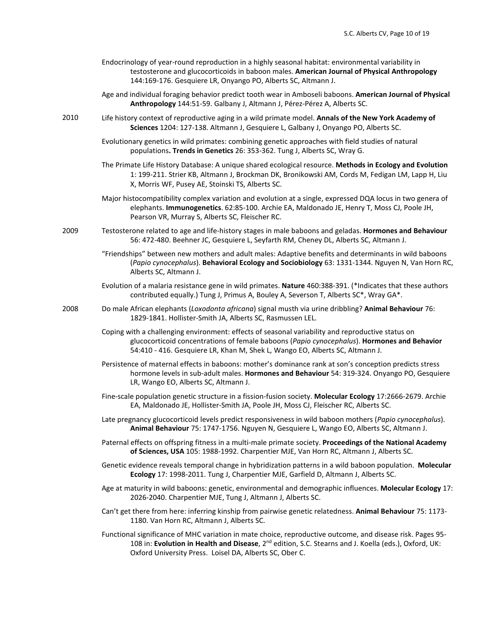- Endocrinology of year-round reproduction in a highly seasonal habitat: environmental variability in testosterone and glucocorticoids in baboon males. **American Journal of Physical Anthropology** 144:169-176. Gesquiere LR, Onyango PO, Alberts SC, Altmann J.
- Age and individual foraging behavior predict tooth wear in Amboseli baboons. **American Journal of Physical Anthropology** 144:51-59. Galbany J, Altmann J, Pérez-Pérez A, Alberts SC.
- 2010 Life history context of reproductive aging in a wild primate model. **Annals of the New York Academy of Sciences** 1204: 127-138. Altmann J, Gesquiere L, Galbany J, Onyango PO, Alberts SC.
	- Evolutionary genetics in wild primates: combining genetic approaches with field studies of natural populations**. Trends in Genetics** 26: 353-362. Tung J, Alberts SC, Wray G.
	- The Primate Life History Database: A unique shared ecological resource. **Methods in Ecology and Evolution** 1: 199-211. Strier KB, Altmann J, Brockman DK, Bronikowski AM, Cords M, Fedigan LM, Lapp H, Liu X, Morris WF, Pusey AE, Stoinski TS, Alberts SC.
	- Major histocompatibility complex variation and evolution at a single, expressed DQA locus in two genera of elephants. **Immunogenetics**. 62:85-100. Archie EA, Maldonado JE, Henry T, Moss CJ, Poole JH, Pearson VR, Murray S, Alberts SC, Fleischer RC.
- 2009 Testosterone related to age and life-history stages in male baboons and geladas. **Hormones and Behaviour** 56: 472-480. Beehner JC, Gesquiere L, Seyfarth RM, Cheney DL, Alberts SC, Altmann J.
	- "Friendships" between new mothers and adult males: Adaptive benefits and determinants in wild baboons (*Papio cynocephalus*). **Behavioral Ecology and Sociobiology** 63: 1331-1344. Nguyen N, Van Horn RC, Alberts SC, Altmann J.
	- Evolution of a malaria resistance gene in wild primates. **Nature** 460:388-391. (\*Indicates that these authors contributed equally.) Tung J, Primus A, Bouley A, Severson T, Alberts SC\*, Wray GA\*.
- 2008 Do male African elephants (*Loxodonta africana*) signal musth via urine dribbling? **Animal Behaviour** 76: 1829-1841. Hollister-Smith JA, Alberts SC, Rasmussen LEL.
	- Coping with a challenging environment: effects of seasonal variability and reproductive status on glucocorticoid concentrations of female baboons (*Papio cynocephalus*). **Hormones and Behavior** 54:410 - 416. Gesquiere LR, Khan M, Shek L, Wango EO, Alberts SC, Altmann J.
	- Persistence of maternal effects in baboons: mother's dominance rank at son's conception predicts stress hormone levels in sub-adult males. **Hormones and Behaviour** 54: 319-324. Onyango PO, Gesquiere LR, Wango EO, Alberts SC, Altmann J.
	- Fine-scale population genetic structure in a fission-fusion society. **Molecular Ecology** 17:2666-2679. Archie EA, Maldonado JE, Hollister-Smith JA, Poole JH, Moss CJ, Fleischer RC, Alberts SC.
	- Late pregnancy glucocorticoid levels predict responsiveness in wild baboon mothers (*Papio cynocephalus*). **Animal Behaviour** 75: 1747-1756. Nguyen N, Gesquiere L, Wango EO, Alberts SC, Altmann J.
	- Paternal effects on offspring fitness in a multi-male primate society. **Proceedings of the National Academy of Sciences, USA** 105: 1988-1992. Charpentier MJE, Van Horn RC, Altmann J, Alberts SC.
	- Genetic evidence reveals temporal change in hybridization patterns in a wild baboon population. **Molecular Ecology** 17: 1998-2011. Tung J, Charpentier MJE, Garfield D, Altmann J, Alberts SC.
	- Age at maturity in wild baboons: genetic, environmental and demographic influences. **Molecular Ecology** 17: 2026-2040. Charpentier MJE, Tung J, Altmann J, Alberts SC.
	- Can't get there from here: inferring kinship from pairwise genetic relatedness. **Animal Behaviour** 75: 1173- 1180. Van Horn RC, Altmann J, Alberts SC.
	- Functional significance of MHC variation in mate choice, reproductive outcome, and disease risk. Pages 95- 108 in: **Evolution in Health and Disease**, 2nd edition, S.C. Stearns and J. Koella (eds.), Oxford, UK: Oxford University Press. Loisel DA, Alberts SC, Ober C.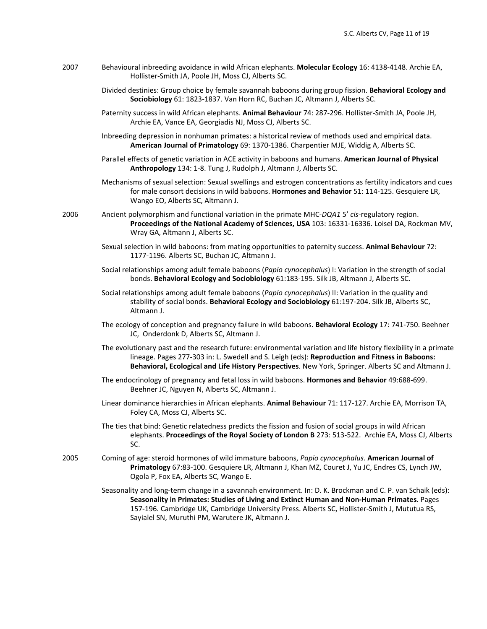- 2007 Behavioural inbreeding avoidance in wild African elephants. **Molecular Ecology** 16: 4138-4148. Archie EA, Hollister-Smith JA, Poole JH, Moss CJ, Alberts SC.
	- Divided destinies: Group choice by female savannah baboons during group fission. **Behavioral Ecology and Sociobiology** 61: 1823-1837. Van Horn RC, Buchan JC, Altmann J, Alberts SC.
	- Paternity success in wild African elephants. **Animal Behaviour** 74: 287-296. Hollister-Smith JA, Poole JH, Archie EA, Vance EA, Georgiadis NJ, Moss CJ, Alberts SC.
	- Inbreeding depression in nonhuman primates: a historical review of methods used and empirical data. **American Journal of Primatology** 69: 1370-1386. Charpentier MJE, Widdig A, Alberts SC.
	- Parallel effects of genetic variation in ACE activity in baboons and humans. **American Journal of Physical Anthropology** 134: 1-8. Tung J, Rudolph J, Altmann J, Alberts SC.
	- Mechanisms of sexual selection: Sexual swellings and estrogen concentrations as fertility indicators and cues for male consort decisions in wild baboons. **Hormones and Behavior** 51: 114-125. Gesquiere LR, Wango EO, Alberts SC, Altmann J.
- 2006 Ancient polymorphism and functional variation in the primate MHC-*DQA1* 5' *cis-*regulatory region. **Proceedings of the National Academy of Sciences, USA** 103: 16331-16336. Loisel DA, Rockman MV, Wray GA, Altmann J, Alberts SC.
	- Sexual selection in wild baboons: from mating opportunities to paternity success. **Animal Behaviour** 72: 1177-1196. Alberts SC, Buchan JC, Altmann J.
	- Social relationships among adult female baboons (*Papio cynocephalus*) I: Variation in the strength of social bonds. **Behavioral Ecology and Sociobiology** 61:183-195. Silk JB, Altmann J, Alberts SC.
	- Social relationships among adult female baboons (*Papio cynocephalus*) II: Variation in the quality and stability of social bonds. **Behavioral Ecology and Sociobiology** 61:197-204. Silk JB, Alberts SC, Altmann J.
	- The ecology of conception and pregnancy failure in wild baboons. **Behavioral Ecology** 17: 741-750. Beehner JC, Onderdonk D, Alberts SC, Altmann J.
	- The evolutionary past and the research future: environmental variation and life history flexibility in a primate lineage. Pages 277-303 in: L. Swedell and S. Leigh (eds): **Reproduction and Fitness in Baboons: Behavioral, Ecological and Life History Perspectives***.* New York, Springer. Alberts SC and Altmann J.
	- The endocrinology of pregnancy and fetal loss in wild baboons. **Hormones and Behavior** 49:688-699. Beehner JC, Nguyen N, Alberts SC, Altmann J.
	- Linear dominance hierarchies in African elephants. **Animal Behaviour** 71: 117-127. Archie EA, Morrison TA, Foley CA, Moss CJ, Alberts SC.
	- The ties that bind: Genetic relatedness predicts the fission and fusion of social groups in wild African elephants. **Proceedings of the Royal Society of London B** 273: 513-522. Archie EA, Moss CJ, Alberts SC.
- 2005 Coming of age: steroid hormones of wild immature baboons, *Papio cynocephalus*. **American Journal of Primatology** 67:83-100. Gesquiere LR, Altmann J, Khan MZ, Couret J, Yu JC, Endres CS, Lynch JW, Ogola P, Fox EA, Alberts SC, Wango E.
	- Seasonality and long-term change in a savannah environment. In: D. K. Brockman and C. P. van Schaik (eds): **Seasonality in Primates: Studies of Living and Extinct Human and Non-Human Primates***.* Pages 157-196. Cambridge UK, Cambridge University Press. Alberts SC, Hollister-Smith J, Mututua RS, Sayialel SN, Muruthi PM, Warutere JK, Altmann J.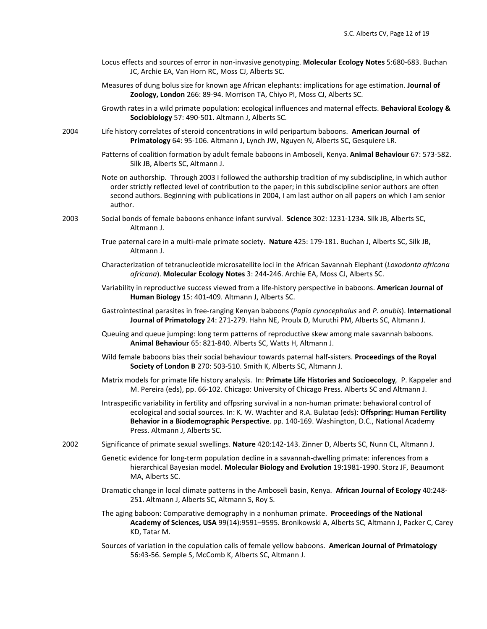- Locus effects and sources of error in non-invasive genotyping. **Molecular Ecology Notes** 5:680-683. Buchan JC, Archie EA, Van Horn RC, Moss CJ, Alberts SC.
- Measures of dung bolus size for known age African elephants: implications for age estimation. **Journal of Zoology, London** 266: 89-94. Morrison TA, Chiyo PI, Moss CJ, Alberts SC.
- Growth rates in a wild primate population: ecological influences and maternal effects. **Behavioral Ecology & Sociobiology** 57: 490-501. Altmann J, Alberts SC.
- 2004 Life history correlates of steroid concentrations in wild peripartum baboons. **American Journal of Primatology** 64: 95-106. Altmann J, Lynch JW, Nguyen N, Alberts SC, Gesquiere LR.
	- Patterns of coalition formation by adult female baboons in Amboseli, Kenya. **Animal Behaviour** 67: 573-582. Silk JB, Alberts SC, Altmann J.

Note on authorship. Through 2003 I followed the authorship tradition of my subdiscipline, in which author order strictly reflected level of contribution to the paper; in this subdiscipline senior authors are often second authors. Beginning with publications in 2004, I am last author on all papers on which I am senior author.

- 2003 Social bonds of female baboons enhance infant survival. **Science** 302: 1231-1234. Silk JB, Alberts SC, Altmann J.
	- True paternal care in a multi-male primate society. **Nature** 425: 179-181. Buchan J, Alberts SC, Silk JB, Altmann J.
	- Characterization of tetranucleotide microsatellite loci in the African Savannah Elephant (*Loxodonta africana africana*). **Molecular Ecology Notes** 3: 244-246. Archie EA, Moss CJ, Alberts SC.
	- Variability in reproductive success viewed from a life-history perspective in baboons. **American Journal of Human Biology** 15: 401-409. Altmann J, Alberts SC.
	- Gastrointestinal parasites in free-ranging Kenyan baboons (*Papio cynocephalus* and *P. anubis*). **International Journal of Primatology** 24: 271-279. Hahn NE, Proulx D, Muruthi PM, Alberts SC, Altmann J.
	- Queuing and queue jumping: long term patterns of reproductive skew among male savannah baboons. **Animal Behaviour** 65: 821-840. Alberts SC, Watts H, Altmann J.
	- Wild female baboons bias their social behaviour towards paternal half-sisters. **Proceedings of the Royal Society of London B** 270: 503-510. Smith K, Alberts SC, Altmann J.
	- Matrix models for primate life history analysis. In: **Primate Life Histories and Socioecology***,* P. Kappeler and M. Pereira (eds), pp. 66-102. Chicago: University of Chicago Press. Alberts SC and Altmann J.
	- Intraspecific variability in fertility and offpsring survival in a non-human primate: behavioral control of ecological and social sources. In: K. W. Wachter and R.A. Bulatao (eds): **Offspring: Human Fertility Behavior in a Biodemographic Perspective**. pp. 140-169. Washington, D.C., National Academy Press. Altmann J, Alberts SC.
- 2002 Significance of primate sexual swellings. **Nature** 420:142-143. Zinner D, Alberts SC, Nunn CL, Altmann J.
	- Genetic evidence for long-term population decline in a savannah-dwelling primate: inferences from a hierarchical Bayesian model. **Molecular Biology and Evolution** 19:1981-1990. Storz JF, Beaumont MA, Alberts SC.
	- Dramatic change in local climate patterns in the Amboseli basin, Kenya. **African Journal of Ecology** 40:248- 251. Altmann J, Alberts SC, Altmann S, Roy S.
	- The aging baboon: Comparative demography in a nonhuman primate. **Proceedings of the National Academy of Sciences, USA** 99(14):9591–9595. Bronikowski A, Alberts SC, Altmann J, Packer C, Carey KD, Tatar M.
	- Sources of variation in the copulation calls of female yellow baboons. **American Journal of Primatology** 56:43-56. Semple S, McComb K, Alberts SC, Altmann J.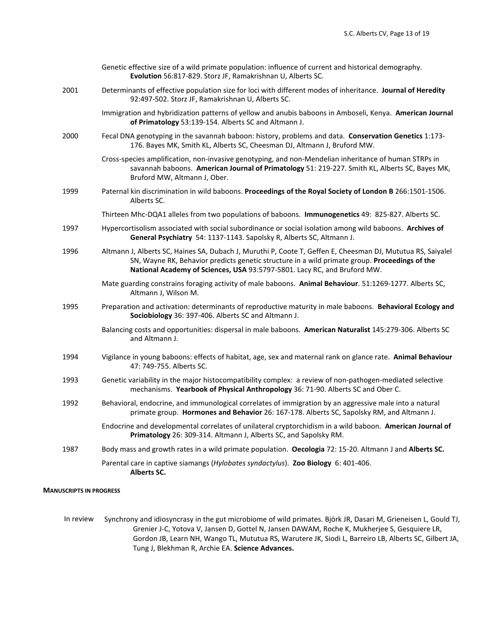|      | Genetic effective size of a wild primate population: influence of current and historical demography.<br>Evolution 56:817-829. Storz JF, Ramakrishnan U, Alberts SC.                                                                                                                      |
|------|------------------------------------------------------------------------------------------------------------------------------------------------------------------------------------------------------------------------------------------------------------------------------------------|
| 2001 | Determinants of effective population size for loci with different modes of inheritance. Journal of Heredity<br>92:497-502. Storz JF, Ramakrishnan U, Alberts SC.                                                                                                                         |
|      | Immigration and hybridization patterns of yellow and anubis baboons in Amboseli, Kenya. American Journal<br>of Primatology 53:139-154. Alberts SC and Altmann J.                                                                                                                         |
| 2000 | Fecal DNA genotyping in the savannah baboon: history, problems and data. Conservation Genetics 1:173-<br>176. Bayes MK, Smith KL, Alberts SC, Cheesman DJ, Altmann J, Bruford MW.                                                                                                        |
|      | Cross-species amplification, non-invasive genotyping, and non-Mendelian inheritance of human STRPs in<br>savannah baboons. American Journal of Primatology 51: 219-227. Smith KL, Alberts SC, Bayes MK,<br>Bruford MW, Altmann J, Ober.                                                  |
| 1999 | Paternal kin discrimination in wild baboons. Proceedings of the Royal Society of London B 266:1501-1506.<br>Alberts SC.                                                                                                                                                                  |
|      | Thirteen Mhc-DQA1 alleles from two populations of baboons. Immunogenetics 49: 825-827. Alberts SC.                                                                                                                                                                                       |
| 1997 | Hypercortisolism associated with social subordinance or social isolation among wild baboons. Archives of<br>General Psychiatry 54: 1137-1143. Sapolsky R, Alberts SC, Altmann J.                                                                                                         |
| 1996 | Altmann J, Alberts SC, Haines SA, Dubach J, Muruthi P, Coote T, Geffen E, Cheesman DJ, Mututua RS, Saiyalel<br>SN, Wayne RK, Behavior predicts genetic structure in a wild primate group. Proceedings of the<br>National Academy of Sciences, USA 93:5797-5801. Lacy RC, and Bruford MW. |
|      | Mate guarding constrains foraging activity of male baboons. Animal Behaviour. 51:1269-1277. Alberts SC,<br>Altmann J, Wilson M.                                                                                                                                                          |
| 1995 | Preparation and activation: determinants of reproductive maturity in male baboons. Behavioral Ecology and<br>Sociobiology 36: 397-406. Alberts SC and Altmann J.                                                                                                                         |
|      | Balancing costs and opportunities: dispersal in male baboons. American Naturalist 145:279-306. Alberts SC<br>and Altmann J.                                                                                                                                                              |
| 1994 | Vigilance in young baboons: effects of habitat, age, sex and maternal rank on glance rate. Animal Behaviour<br>47: 749-755. Alberts SC.                                                                                                                                                  |
| 1993 | Genetic variability in the major histocompatibility complex: a review of non-pathogen-mediated selective<br>mechanisms. Yearbook of Physical Anthropology 36: 71-90. Alberts SC and Ober C.                                                                                              |
| 1992 | Behavioral, endocrine, and immunological correlates of immigration by an aggressive male into a natural<br>primate group. Hormones and Behavior 26: 167-178. Alberts SC, Sapolsky RM, and Altmann J.                                                                                     |
|      | Endocrine and developmental correlates of unilateral cryptorchidism in a wild baboon. American Journal of<br>Primatology 26: 309-314. Altmann J, Alberts SC, and Sapolsky RM.                                                                                                            |
| 1987 | Body mass and growth rates in a wild primate population. Oecologia 72: 15-20. Altmann J and Alberts SC.                                                                                                                                                                                  |
|      | Parental care in captive siamangs (Hylobates syndactylus). Zoo Biology 6: 401-406.<br>Alberts SC.                                                                                                                                                                                        |

#### **MANUSCRIPTS IN PROGRESS**

In review Synchrony and idiosyncrasy in the gut microbiome of wild primates. Björk JR, Dasari M, Grieneisen L, Gould TJ, Grenier J-C, Yotova V, Jansen D, Gottel N, Jansen DAWAM, Roche K, Mukherjee S, Gesquiere LR, Gordon JB, Learn NH, Wango TL, Mututua RS, Warutere JK, Siodi L, Barreiro LB, Alberts SC, Gilbert JA, Tung J, Blekhman R, Archie EA. **Science Advances.**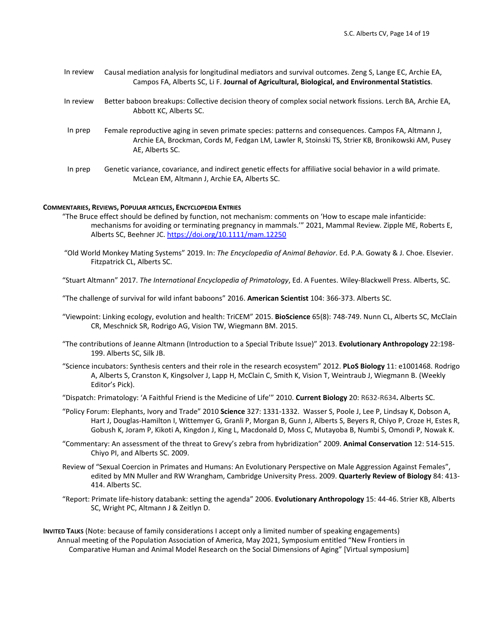- In review Causal mediation analysis for longitudinal mediators and survival outcomes. Zeng S, Lange EC, Archie EA, Campos FA, Alberts SC, Li F. **Journal of Agricultural, Biological, and Environmental Statistics**.
- In review Better baboon breakups: Collective decision theory of complex social network fissions. Lerch BA, Archie EA, Abbott KC, Alberts SC.
- In prep Female reproductive aging in seven primate species: patterns and consequences. Campos FA, Altmann J, Archie EA, Brockman, Cords M, Fedgan LM, Lawler R, Stoinski TS, Strier KB, Bronikowski AM, Pusey AE, Alberts SC.
- In prep Genetic variance, covariance, and indirect genetic effects for affiliative social behavior in a wild primate. McLean EM, Altmann J, Archie EA, Alberts SC.

#### **COMMENTARIES, REVIEWS, POPULAR ARTICLES, ENCYCLOPEDIA ENTRIES**

- "The Bruce effect should be defined by function, not mechanism: comments on 'How to escape male infanticide: mechanisms for avoiding or terminating pregnancy in mammals.'" 2021, Mammal Review*.* Zipple ME, Roberts E, Alberts SC, Beehner JC. https://doi.org/10.1111/mam.12250
	- "Old World Monkey Mating Systems" 2019. In: *The Encyclopedia of Animal Behavior*. Ed. P.A. Gowaty & J. Choe. Elsevier. Fitzpatrick CL, Alberts SC.
- "Stuart Altmann" 2017. *The International Encyclopedia of Primatology*, Ed. A Fuentes. Wiley-Blackwell Press. Alberts, SC.

"The challenge of survival for wild infant baboons" 2016. **American Scientist** 104: 366-373. Alberts SC.

- "Viewpoint: Linking ecology, evolution and health: TriCEM" 2015. **BioScience** 65(8): 748-749. Nunn CL, Alberts SC, McClain CR, Meschnick SR, Rodrigo AG, Vision TW, Wiegmann BM. 2015.
- "The contributions of Jeanne Altmann (Introduction to a Special Tribute Issue)" 2013. **Evolutionary Anthropology** 22:198- 199. Alberts SC, Silk JB.
- "Science incubators: Synthesis centers and their role in the research ecosystem" 2012. **PLoS Biology** 11: e1001468. Rodrigo A, Alberts S, Cranston K, Kingsolver J, Lapp H, McClain C, Smith K, Vision T, Weintraub J, Wiegmann B. (Weekly Editor's Pick).
- "Dispatch: Primatology: 'A Faithful Friend is the Medicine of Life'" 2010. **Current Biology** 20: R632-R634**.** Alberts SC.
- "Policy Forum: Elephants, Ivory and Trade" 2010 **Science** 327: 1331-1332. Wasser S, Poole J, Lee P, Lindsay K, Dobson A, Hart J, Douglas-Hamilton I, Wittemyer G, Granli P, Morgan B, Gunn J, Alberts S, Beyers R, Chiyo P, Croze H, Estes R, Gobush K, Joram P, Kikoti A, Kingdon J, King L, Macdonald D, Moss C, Mutayoba B, Numbi S, Omondi P, Nowak K.
- "Commentary: An assessment of the threat to Grevy's zebra from hybridization" 2009. **Animal Conservation** 12: 514-515. Chiyo PI, and Alberts SC. 2009.
- Review of "Sexual Coercion in Primates and Humans: An Evolutionary Perspective on Male Aggression Against Females", edited by MN Muller and RW Wrangham, Cambridge University Press. 2009. **Quarterly Review of Biology** 84: 413- 414. Alberts SC.
- "Report: Primate life-history databank: setting the agenda" 2006. **Evolutionary Anthropology** 15: 44-46. Strier KB, Alberts SC, Wright PC, Altmann J & Zeitlyn D.

**INVITED TALKS** (Note: because of family considerations I accept only a limited number of speaking engagements) Annual meeting of the Population Association of America, May 2021, Symposium entitled "New Frontiers in Comparative Human and Animal Model Research on the Social Dimensions of Aging" [Virtual symposium]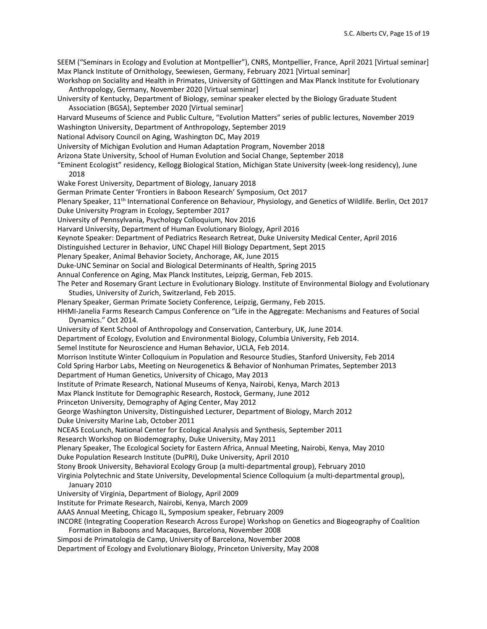SEEM ("Seminars in Ecology and Evolution at Montpellier"), CNRS, Montpellier, France, April 2021 [Virtual seminar] Max Planck Institute of Ornithology, Seewiesen, Germany, February 2021 [Virtual seminar]

Workshop on Sociality and Health in Primates, University of Göttingen and Max Planck Institute for Evolutionary Anthropology, Germany, November 2020 [Virtual seminar]

- University of Kentucky, Department of Biology, seminar speaker elected by the Biology Graduate Student Association (BGSA), September 2020 [Virtual seminar]
- Harvard Museums of Science and Public Culture, "Evolution Matters" series of public lectures, November 2019
- Washington University, Department of Anthropology, September 2019
- National Advisory Council on Aging, Washington DC, May 2019
- University of Michigan Evolution and Human Adaptation Program, November 2018
- Arizona State University, School of Human Evolution and Social Change, September 2018
- "Eminent Ecologist" residency, Kellogg Biological Station, Michigan State University (week-long residency), June 2018
- Wake Forest University, Department of Biology, January 2018
- German Primate Center 'Frontiers in Baboon Research' Symposium, Oct 2017
- Plenary Speaker, 11<sup>th</sup> International Conference on Behaviour, Physiology, and Genetics of Wildlife. Berlin, Oct 2017 Duke University Program in Ecology, September 2017
- University of Pennsylvania, Psychology Colloquium, Nov 2016
- Harvard University, Department of Human Evolutionary Biology, April 2016
- Keynote Speaker: Department of Pediatrics Research Retreat, Duke University Medical Center, April 2016
- Distinguished Lecturer in Behavior, UNC Chapel Hill Biology Department, Sept 2015
- Plenary Speaker, Animal Behavior Society, Anchorage, AK, June 2015
- Duke-UNC Seminar on Social and Biological Determinants of Health, Spring 2015
- Annual Conference on Aging, Max Planck Institutes, Leipzig, German, Feb 2015.
- The Peter and Rosemary Grant Lecture in Evolutionary Biology. Institute of Environmental Biology and Evolutionary Studies, University of Zurich, Switzerland, Feb 2015.
- Plenary Speaker, German Primate Society Conference, Leipzig, Germany, Feb 2015.
- HHMI-Janelia Farms Research Campus Conference on "Life in the Aggregate: Mechanisms and Features of Social Dynamics." Oct 2014.
- University of Kent School of Anthropology and Conservation, Canterbury, UK, June 2014.
- Department of Ecology, Evolution and Environmental Biology, Columbia University, Feb 2014.
- Semel Institute for Neuroscience and Human Behavior, UCLA, Feb 2014.
- Morrison Institute Winter Colloquium in Population and Resource Studies, Stanford University, Feb 2014
- Cold Spring Harbor Labs, Meeting on Neurogenetics & Behavior of Nonhuman Primates, September 2013
- Department of Human Genetics, University of Chicago, May 2013
- Institute of Primate Research, National Museums of Kenya, Nairobi, Kenya, March 2013
- Max Planck Institute for Demographic Research, Rostock, Germany, June 2012
- Princeton University, Demography of Aging Center, May 2012
- George Washington University, Distinguished Lecturer, Department of Biology, March 2012 Duke University Marine Lab, October 2011
- NCEAS EcoLunch, National Center for Ecological Analysis and Synthesis, September 2011
- Research Workshop on Biodemography, Duke University, May 2011
- Plenary Speaker, The Ecological Society for Eastern Africa, Annual Meeting, Nairobi, Kenya, May 2010
- Duke Population Research Institute (DuPRI), Duke University, April 2010
- Stony Brook University, Behavioral Ecology Group (a multi-departmental group), February 2010
- Virginia Polytechnic and State University, Developmental Science Colloquium (a multi-departmental group), January 2010
- University of Virginia, Department of Biology, April 2009
- Institute for Primate Research, Nairobi, Kenya, March 2009
- AAAS Annual Meeting, Chicago IL, Symposium speaker, February 2009
- INCORE (Integrating Cooperation Research Across Europe) Workshop on Genetics and Biogeography of Coalition Formation in Baboons and Macaques, Barcelona, November 2008
- 
- Simposi de Primatologia de Camp, University of Barcelona, November 2008
- Department of Ecology and Evolutionary Biology, Princeton University, May 2008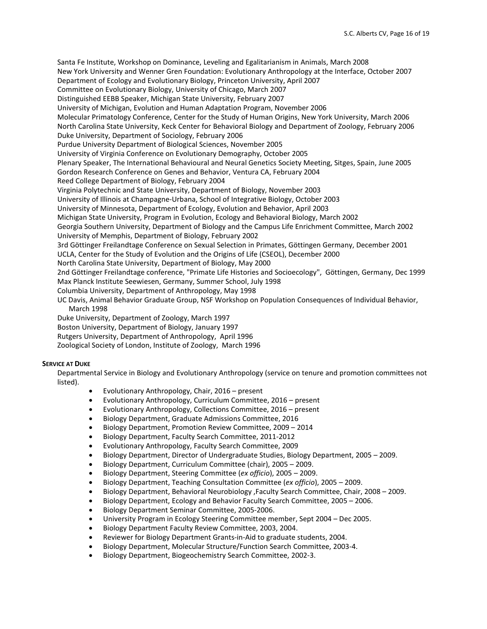Santa Fe Institute, Workshop on Dominance, Leveling and Egalitarianism in Animals, March 2008 New York University and Wenner Gren Foundation: Evolutionary Anthropology at the Interface, October 2007 Department of Ecology and Evolutionary Biology, Princeton University, April 2007 Committee on Evolutionary Biology, University of Chicago, March 2007 Distinguished EEBB Speaker, Michigan State University, February 2007 University of Michigan, Evolution and Human Adaptation Program, November 2006 Molecular Primatology Conference, Center for the Study of Human Origins, New York University, March 2006 North Carolina State University, Keck Center for Behavioral Biology and Department of Zoology, February 2006 Duke University, Department of Sociology, February 2006 Purdue University Department of Biological Sciences, November 2005 University of Virginia Conference on Evolutionary Demography, October 2005 Plenary Speaker, The International Behavioural and Neural Genetics Society Meeting, Sitges, Spain, June 2005 Gordon Research Conference on Genes and Behavior, Ventura CA, February 2004 Reed College Department of Biology, February 2004 Virginia Polytechnic and State University, Department of Biology, November 2003 University of Illinois at Champagne-Urbana, School of Integrative Biology, October 2003 University of Minnesota, Department of Ecology, Evolution and Behavior, April 2003 Michigan State University, Program in Evolution, Ecology and Behavioral Biology, March 2002 Georgia Southern University, Department of Biology and the Campus Life Enrichment Committee, March 2002 University of Memphis, Department of Biology, February 2002 3rd Göttinger Freilandtage Conference on Sexual Selection in Primates, Göttingen Germany, December 2001 UCLA, Center for the Study of Evolution and the Origins of Life (CSEOL), December 2000 North Carolina State University, Department of Biology, May 2000 2nd Göttinger Freilandtage conference, "Primate Life Histories and Socioecology", Göttingen, Germany, Dec 1999 Max Planck Institute Seewiesen, Germany, Summer School, July 1998 Columbia University, Department of Anthropology, May 1998 UC Davis, Animal Behavior Graduate Group, NSF Workshop on Population Consequences of Individual Behavior, March 1998 Duke University, Department of Zoology, March 1997 Boston University, Department of Biology, January 1997

Rutgers University, Department of Anthropology, April 1996

Zoological Society of London, Institute of Zoology, March 1996

### **SERVICE AT DUKE**

Departmental Service in Biology and Evolutionary Anthropology (service on tenure and promotion committees not listed).

- Evolutionary Anthropology, Chair, 2016 present
- Evolutionary Anthropology, Curriculum Committee, 2016 present
- Evolutionary Anthropology, Collections Committee, 2016 present
- Biology Department, Graduate Admissions Committee, 2016
- Biology Department, Promotion Review Committee, 2009 2014
- Biology Department, Faculty Search Committee, 2011-2012
- Evolutionary Anthropology, Faculty Search Committee, 2009
- Biology Department, Director of Undergraduate Studies, Biology Department, 2005 2009.
- Biology Department, Curriculum Committee (chair), 2005 2009.
- Biology Department, Steering Committee (*ex officio*), 2005 2009.
- Biology Department, Teaching Consultation Committee (*ex officio*), 2005 2009.
- Biology Department, Behavioral Neurobiology ,Faculty Search Committee, Chair, 2008 2009.
- Biology Department, Ecology and Behavior Faculty Search Committee, 2005 2006.
- Biology Department Seminar Committee, 2005-2006.
- University Program in Ecology Steering Committee member, Sept 2004 Dec 2005.
- Biology Department Faculty Review Committee, 2003, 2004.
- Reviewer for Biology Department Grants-in-Aid to graduate students, 2004.
- Biology Department, Molecular Structure/Function Search Committee, 2003-4.
- Biology Department, Biogeochemistry Search Committee, 2002-3.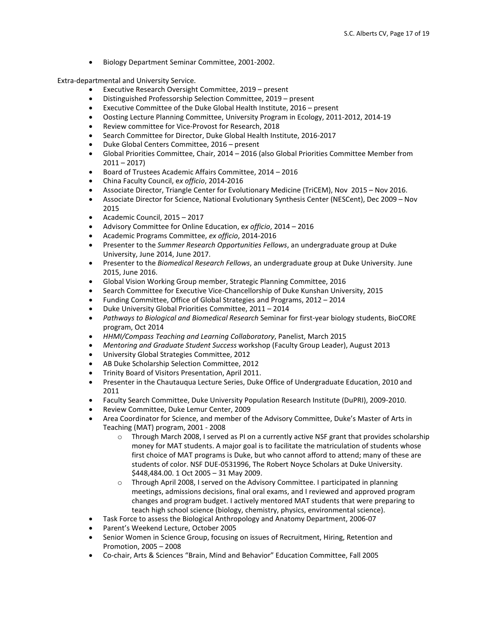• Biology Department Seminar Committee, 2001-2002.

Extra-departmental and University Service.

- Executive Research Oversight Committee, 2019 present
- Distinguished Professorship Selection Committee, 2019 present
- Executive Committee of the Duke Global Health Institute, 2016 present
- Oosting Lecture Planning Committee, University Program in Ecology, 2011-2012, 2014-19
- Review committee for Vice-Provost for Research, 2018
- Search Committee for Director, Duke Global Health Institute, 2016-2017
- Duke Global Centers Committee, 2016 present
- Global Priorities Committee, Chair, 2014 2016 (also Global Priorities Committee Member from  $2011 - 2017$
- Board of Trustees Academic Affairs Committee, 2014 2016
- China Faculty Council, e*x officio*, 2014-2016
- Associate Director, Triangle Center for Evolutionary Medicine (TriCEM), Nov 2015 Nov 2016.
- Associate Director for Science, National Evolutionary Synthesis Center (NESCent), Dec 2009 Nov 2015
- Academic Council, 2015 2017
- Advisory Committee for Online Education, e*x officio*, 2014 2016
- Academic Programs Committee, *ex officio*, 2014-2016
- Presenter to the *Summer Research Opportunities Fellows*, an undergraduate group at Duke University, June 2014, June 2017.
- Presenter to the *Biomedical Research Fellows*, an undergraduate group at Duke University. June 2015, June 2016.
- Global Vision Working Group member, Strategic Planning Committee, 2016
- Search Committee for Executive Vice-Chancellorship of Duke Kunshan University, 2015
- Funding Committee, Office of Global Strategies and Programs, 2012 2014
- Duke University Global Priorities Committee, 2011 2014
- *Pathways to Biological and Biomedical Research* Seminar for first-year biology students, BioCORE program, Oct 2014
- *HHMI/Compass Teaching and Learning Collaboratory*, Panelist, March 2015
- *Mentoring and Graduate Student Success* workshop (Faculty Group Leader), August 2013
- University Global Strategies Committee, 2012
- AB Duke Scholarship Selection Committee, 2012
- Trinity Board of Visitors Presentation, April 2011.
- Presenter in the Chautauqua Lecture Series, Duke Office of Undergraduate Education, 2010 and 2011
- Faculty Search Committee, Duke University Population Research Institute (DuPRI), 2009-2010.
- Review Committee, Duke Lemur Center, 2009
- Area Coordinator for Science, and member of the Advisory Committee, Duke's Master of Arts in Teaching (MAT) program, 2001 - 2008
	- o Through March 2008, I served as PI on a currently active NSF grant that provides scholarship money for MAT students. A major goal is to facilitate the matriculation of students whose first choice of MAT programs is Duke, but who cannot afford to attend; many of these are students of color. NSF DUE-0531996, The Robert Noyce Scholars at Duke University. \$448,484.00. 1 Oct 2005 – 31 May 2009.
	- o Through April 2008, I served on the Advisory Committee. I participated in planning meetings, admissions decisions, final oral exams, and I reviewed and approved program changes and program budget. I actively mentored MAT students that were preparing to teach high school science (biology, chemistry, physics, environmental science).
- Task Force to assess the Biological Anthropology and Anatomy Department, 2006-07
- Parent's Weekend Lecture, October 2005
- Senior Women in Science Group, focusing on issues of Recruitment, Hiring, Retention and Promotion, 2005 – 2008
- Co-chair, Arts & Sciences "Brain, Mind and Behavior" Education Committee, Fall 2005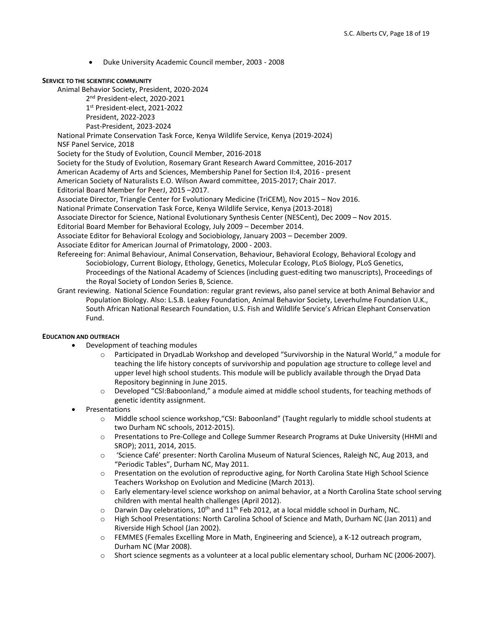• Duke University Academic Council member, 2003 - 2008

## **SERVICE TO THE SCIENTIFIC COMMUNITY**

Animal Behavior Society, President, 2020-2024

2<sup>nd</sup> President-elect, 2020-2021

1st President-elect, 2021-2022 President, 2022-2023

Past-President, 2023-2024

National Primate Conservation Task Force, Kenya Wildlife Service, Kenya (2019-2024) NSF Panel Service, 2018

Society for the Study of Evolution, Council Member, 2016-2018

Society for the Study of Evolution, Rosemary Grant Research Award Committee, 2016-2017 American Academy of Arts and Sciences, Membership Panel for Section II:4, 2016 - present American Society of Naturalists E.O. Wilson Award committee, 2015-2017; Chair 2017.

Editorial Board Member for PeerJ, 2015 –2017.

Associate Director, Triangle Center for Evolutionary Medicine (TriCEM), Nov 2015 – Nov 2016.

National Primate Conservation Task Force, Kenya Wildlife Service, Kenya (2013-2018)

Associate Director for Science, National Evolutionary Synthesis Center (NESCent), Dec 2009 – Nov 2015.

Editorial Board Member for Behavioral Ecology, July 2009 – December 2014.

Associate Editor for Behavioral Ecology and Sociobiology, January 2003 – December 2009.

Associate Editor for American Journal of Primatology, 2000 - 2003.

- Refereeing for: Animal Behaviour, Animal Conservation, Behaviour, Behavioral Ecology, Behavioral Ecology and Sociobiology, Current Biology, Ethology, Genetics, Molecular Ecology, PLoS Biology, PLoS Genetics, Proceedings of the National Academy of Sciences (including guest-editing two manuscripts), Proceedings of the Royal Society of London Series B, Science.
- Grant reviewing. National Science Foundation: regular grant reviews, also panel service at both Animal Behavior and Population Biology. Also: L.S.B. Leakey Foundation, Animal Behavior Society, Leverhulme Foundation U.K., South African National Research Foundation, U.S. Fish and Wildlife Service's African Elephant Conservation Fund.

# **EDUCATION AND OUTREACH**

- Development of teaching modules
	- o Participated in DryadLab Workshop and developed "Survivorship in the Natural World," a module for teaching the life history concepts of survivorship and population age structure to college level and upper level high school students. This module will be publicly available through the Dryad Data Repository beginning in June 2015.
	- o Developed "CSI:Baboonland," a module aimed at middle school students, for teaching methods of genetic identity assignment.
- **Presentations** 
	- o Middle school science workshop,"CSI: Baboonland" (Taught regularly to middle school students at two Durham NC schools, 2012-2015).
	- o Presentations to Pre-College and College Summer Research Programs at Duke University (HHMI and SROP); 2011, 2014, 2015.
	- o 'Science Café' presenter: North Carolina Museum of Natural Sciences, Raleigh NC, Aug 2013, and "Periodic Tables", Durham NC, May 2011.
	- o Presentation on the evolution of reproductive aging, for North Carolina State High School Science Teachers Workshop on Evolution and Medicine (March 2013).
	- o Early elementary-level science workshop on animal behavior, at a North Carolina State school serving children with mental health challenges (April 2012).
	- $\circ$  Darwin Day celebrations, 10<sup>th</sup> and 11<sup>th</sup> Feb 2012, at a local middle school in Durham, NC.
	- o High School Presentations: North Carolina School of Science and Math, Durham NC (Jan 2011) and Riverside High School (Jan 2002).
	- o FEMMES (Females Excelling More in Math, Engineering and Science), a K-12 outreach program, Durham NC (Mar 2008).
	- o Short science segments as a volunteer at a local public elementary school, Durham NC (2006-2007).